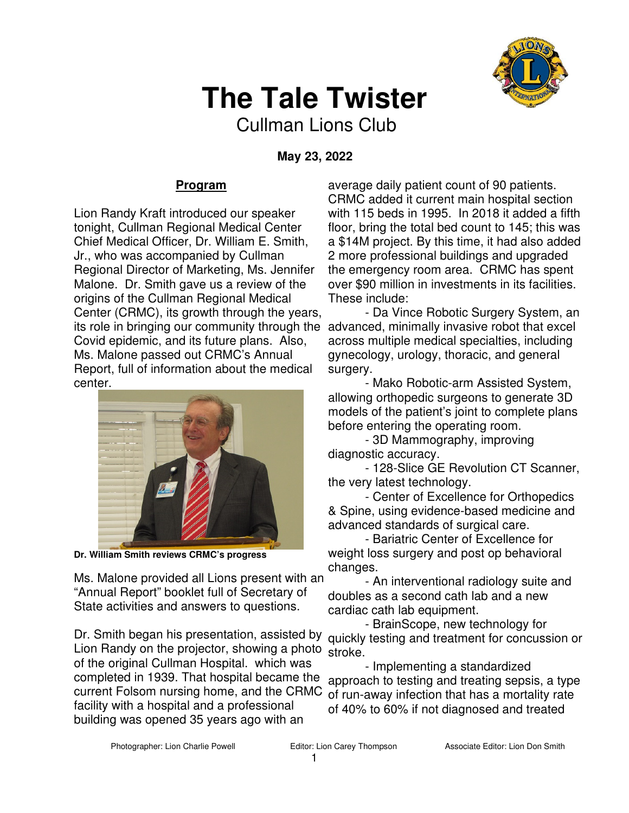

## **The Tale Twister**

Cullman Lions Club

 **May 23, 2022** 

## **Program**

Lion Randy Kraft introduced our speaker tonight, Cullman Regional Medical Center Chief Medical Officer, Dr. William E. Smith, Jr., who was accompanied by Cullman Regional Director of Marketing, Ms. Jennifer Malone. Dr. Smith gave us a review of the origins of the Cullman Regional Medical Center (CRMC), its growth through the years, Covid epidemic, and its future plans. Also, Ms. Malone passed out CRMC's Annual Report, full of information about the medical center.



**Dr. William Smith reviews CRMC's progress** 

Ms. Malone provided all Lions present with an "Annual Report" booklet full of Secretary of State activities and answers to questions.

Dr. Smith began his presentation, assisted by Lion Randy on the projector, showing a photo of the original Cullman Hospital. which was completed in 1939. That hospital became the current Folsom nursing home, and the CRMC facility with a hospital and a professional building was opened 35 years ago with an

average daily patient count of 90 patients. CRMC added it current main hospital section with 115 beds in 1995. In 2018 it added a fifth floor, bring the total bed count to 145; this was a \$14M project. By this time, it had also added 2 more professional buildings and upgraded the emergency room area. CRMC has spent over \$90 million in investments in its facilities. These include:

its role in bringing our community through the advanced, minimally invasive robot that excel - Da Vince Robotic Surgery System, an across multiple medical specialties, including gynecology, urology, thoracic, and general surgery.

- Mako Robotic-arm Assisted System, allowing orthopedic surgeons to generate 3D models of the patient's joint to complete plans before entering the operating room.

- 3D Mammography, improving diagnostic accuracy.

 - 128-Slice GE Revolution CT Scanner, the very latest technology.

- Center of Excellence for Orthopedics & Spine, using evidence-based medicine and advanced standards of surgical care.

- Bariatric Center of Excellence for weight loss surgery and post op behavioral changes.

- An interventional radiology suite and doubles as a second cath lab and a new cardiac cath lab equipment.

- BrainScope, new technology for quickly testing and treatment for concussion or stroke.

- Implementing a standardized approach to testing and treating sepsis, a type of run-away infection that has a mortality rate of 40% to 60% if not diagnosed and treated